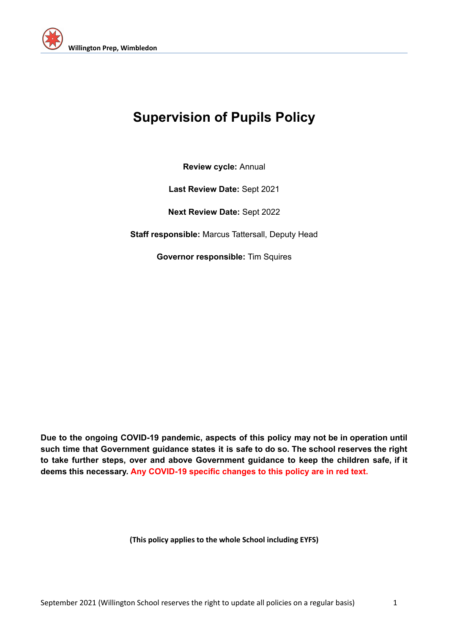

# **Supervision of Pupils Policy**

**Review cycle:** Annual

**Last Review Date:** Sept 2021

**Next Review Date:** Sept 2022

**Staff responsible:** Marcus Tattersall, Deputy Head

**Governor responsible:** Tim Squires

**Due to the ongoing COVID-19 pandemic, aspects of this policy may not be in operation until such time that Government guidance states it is safe to do so. The school reserves the right to take further steps, over and above Government guidance to keep the children safe, if it deems this necessary. Any COVID-19 specific changes to this policy are in red text.**

**(This policy applies to the whole School including EYFS)**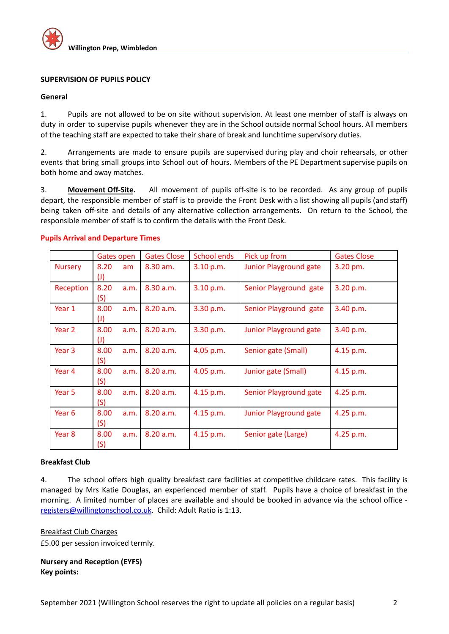

## **SUPERVISION OF PUPILS POLICY**

#### **General**

1. Pupils are not allowed to be on site without supervision. At least one member of staff is always on duty in order to supervise pupils whenever they are in the School outside normal School hours. All members of the teaching staff are expected to take their share of break and lunchtime supervisory duties.

2. Arrangements are made to ensure pupils are supervised during play and choir rehearsals, or other events that bring small groups into School out of hours. Members of the PE Department supervise pupils on both home and away matches.

3. **Movement Off-Site.** All movement of pupils off-site is to be recorded. As any group of pupils depart, the responsible member of staff is to provide the Front Desk with a list showing all pupils (and staff) being taken off-site and details of any alternative collection arrangements. On return to the School, the responsible member of staff is to confirm the details with the Front Desk.

|                   | <b>Gates open</b> |      | <b>Gates Close</b> | <b>School ends</b> | Pick up from                  | <b>Gates Close</b> |
|-------------------|-------------------|------|--------------------|--------------------|-------------------------------|--------------------|
| <b>Nursery</b>    | 8.20              | am   | 8.30 am.           | 3.10 p.m.          | <b>Junior Playground gate</b> | 3.20 pm.           |
|                   | $\left( 1\right)$ |      |                    |                    |                               |                    |
| Reception         | 8.20              | a.m. | 8.30 a.m.          | 3.10 p.m.          | Senior Playground gate        | 3.20 p.m.          |
|                   | (S)               |      |                    |                    |                               |                    |
| Year 1            | 8.00              | a.m. | 8.20 a.m.          | 3.30 p.m.          | Senior Playground gate        | 3.40 p.m.          |
|                   | $\mathcal{L}$     |      |                    |                    |                               |                    |
| Year 2            | 8.00              | a.m. | 8.20 a.m.          | 3.30 p.m.          | Junior Playground gate        | 3.40 p.m.          |
|                   | $\mathcal{L}$     |      |                    |                    |                               |                    |
| Year <sub>3</sub> | 8.00              | a.m. | 8.20 a.m.          | 4.05 p.m.          | Senior gate (Small)           | 4.15 p.m.          |
|                   | (S)               |      |                    |                    |                               |                    |
| Year 4            | 8.00              | a.m. | 8.20 a.m.          | 4.05 p.m.          | Junior gate (Small)           | 4.15 p.m.          |
|                   | (S)               |      |                    |                    |                               |                    |
| Year <sub>5</sub> | 8.00              | a.m. | 8.20 a.m.          | 4.15 p.m.          | Senior Playground gate        | 4.25 p.m.          |
|                   | (S)               |      |                    |                    |                               |                    |
| Year 6            | 8.00              | a.m. | 8.20 a.m.          | 4.15 p.m.          | Junior Playground gate        | 4.25 p.m.          |
|                   | (S)               |      |                    |                    |                               |                    |
| Year 8            | 8.00              | a.m. | 8.20 a.m.          | 4.15 p.m.          | Senior gate (Large)           | 4.25 p.m.          |
|                   | (S)               |      |                    |                    |                               |                    |

## **Pupils Arrival and Departure Times**

## **Breakfast Club**

4. The school offers high quality breakfast care facilities at competitive childcare rates. This facility is managed by Mrs Katie Douglas, an experienced member of staff. Pupils have a choice of breakfast in the morning. A limited number of places are available and should be booked in advance via the school office [registers@willingtonschool.co.uk](mailto:registers@willingtonschool.co.uk). Child: Adult Ratio is 1:13.

#### Breakfast Club Charges

£5.00 per session invoiced termly.

## **Nursery and Reception (EYFS) Key points:**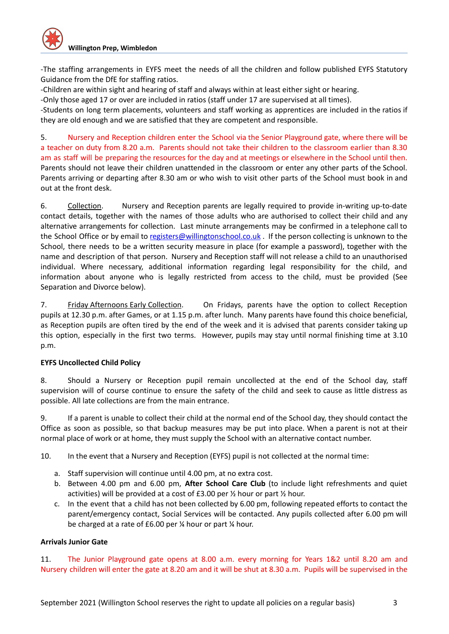-The staffing arrangements in EYFS meet the needs of all the children and follow published EYFS Statutory Guidance from the DfE for staffing ratios.

-Children are within sight and hearing of staff and always within at least either sight or hearing.

-Only those aged 17 or over are included in ratios (staff under 17 are supervised at all times).

-Students on long term placements, volunteers and staff working as apprentices are included in the ratios if they are old enough and we are satisfied that they are competent and responsible.

5. Nursery and Reception children enter the School via the Senior Playground gate, where there will be a teacher on duty from 8.20 a.m. Parents should not take their children to the classroom earlier than 8.30 am as staff will be preparing the resources for the day and at meetings or elsewhere in the School until then. Parents should not leave their children unattended in the classroom or enter any other parts of the School. Parents arriving or departing after 8.30 am or who wish to visit other parts of the School must book in and out at the front desk.

6. Collection. Nursery and Reception parents are legally required to provide in-writing up-to-date contact details, together with the names of those adults who are authorised to collect their child and any alternative arrangements for collection. Last minute arrangements may be confirmed in a telephone call to the School Office or by email to [registers@willingtonschool.co.uk](mailto:registers@willingtonschool.co.uk). If the person collecting is unknown to the School, there needs to be a written security measure in place (for example a password), together with the name and description of that person. Nursery and Reception staff will not release a child to an unauthorised individual. Where necessary, additional information regarding legal responsibility for the child, and information about anyone who is legally restricted from access to the child, must be provided (See Separation and Divorce below).

7. Friday Afternoons Early Collection. On Fridays, parents have the option to collect Reception pupils at 12.30 p.m. after Games, or at 1.15 p.m. after lunch. Many parents have found this choice beneficial, as Reception pupils are often tired by the end of the week and it is advised that parents consider taking up this option, especially in the first two terms. However, pupils may stay until normal finishing time at 3.10 p.m.

# **EYFS Uncollected Child Policy**

8. Should a Nursery or Reception pupil remain uncollected at the end of the School day, staff supervision will of course continue to ensure the safety of the child and seek to cause as little distress as possible. All late collections are from the main entrance.

9. If a parent is unable to collect their child at the normal end of the School day, they should contact the Office as soon as possible, so that backup measures may be put into place. When a parent is not at their normal place of work or at home, they must supply the School with an alternative contact number.

10. In the event that a Nursery and Reception (EYFS) pupil is not collected at the normal time:

- a. Staff supervision will continue until 4.00 pm, at no extra cost.
- b. Between 4.00 pm and 6.00 pm, **After School Care Club** (to include light refreshments and quiet activities) will be provided at a cost of £3.00 per ½ hour or part ½ hour.
- c. In the event that a child has not been collected by 6.00 pm, following repeated efforts to contact the parent/emergency contact, Social Services will be contacted. Any pupils collected after 6.00 pm will be charged at a rate of £6.00 per ¼ hour or part ¼ hour.

# **Arrivals Junior Gate**

11. The Junior Playground gate opens at 8.00 a.m. every morning for Years 1&2 until 8.20 am and Nursery children will enter the gate at 8.20 am and it will be shut at 8.30 a.m. Pupils will be supervised in the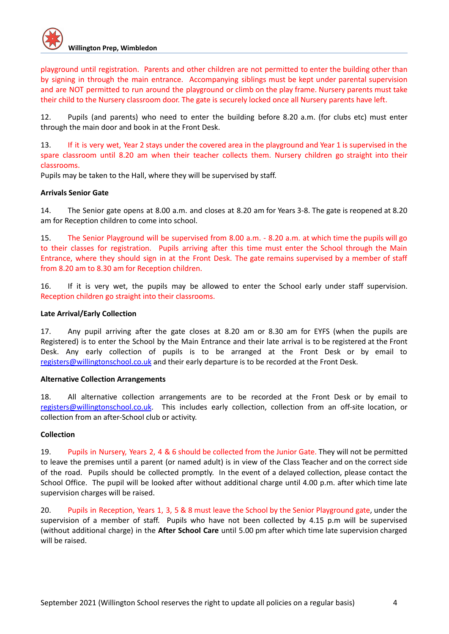playground until registration. Parents and other children are not permitted to enter the building other than by signing in through the main entrance. Accompanying siblings must be kept under parental supervision and are NOT permitted to run around the playground or climb on the play frame. Nursery parents must take their child to the Nursery classroom door. The gate is securely locked once all Nursery parents have left.

12. Pupils (and parents) who need to enter the building before 8.20 a.m. (for clubs etc) must enter through the main door and book in at the Front Desk.

13. If it is very wet, Year 2 stays under the covered area in the playground and Year 1 is supervised in the spare classroom until 8.20 am when their teacher collects them. Nursery children go straight into their classrooms.

Pupils may be taken to the Hall, where they will be supervised by staff.

# **Arrivals Senior Gate**

14. The Senior gate opens at 8.00 a.m. and closes at 8.20 am for Years 3-8. The gate is reopened at 8.20 am for Reception children to come into school.

15. The Senior Playground will be supervised from 8.00 a.m. - 8.20 a.m. at which time the pupils will go to their classes for registration. Pupils arriving after this time must enter the School through the Main Entrance, where they should sign in at the Front Desk. The gate remains supervised by a member of staff from 8.20 am to 8.30 am for Reception children.

16. If it is very wet, the pupils may be allowed to enter the School early under staff supervision. Reception children go straight into their classrooms.

## **Late Arrival/Early Collection**

17. Any pupil arriving after the gate closes at 8.20 am or 8.30 am for EYFS (when the pupils are Registered) is to enter the School by the Main Entrance and their late arrival is to be registered at the Front Desk. Any early collection of pupils is to be arranged at the Front Desk or by email to [registers@willingtonschool.co.uk](mailto:registers@willingtonschool.co.uk) and their early departure is to be recorded at the Front Desk.

## **Alternative Collection Arrangements**

18. All alternative collection arrangements are to be recorded at the Front Desk or by email to [registers@willingtonschool.co.uk](mailto:registers@willingtonschool.co.uk). This includes early collection, collection from an off-site location, or collection from an after-School club or activity.

# **Collection**

19. Pupils in Nursery, Years 2, 4 & 6 should be collected from the Junior Gate. They will not be permitted to leave the premises until a parent (or named adult) is in view of the Class Teacher and on the correct side of the road. Pupils should be collected promptly. In the event of a delayed collection, please contact the School Office. The pupil will be looked after without additional charge until 4.00 p.m. after which time late supervision charges will be raised.

20. Pupils in Reception, Years 1, 3, 5 & 8 must leave the School by the Senior Playground gate, under the supervision of a member of staff. Pupils who have not been collected by 4.15 p.m will be supervised (without additional charge) in the **After School Care** until 5.00 pm after which time late supervision charged will be raised.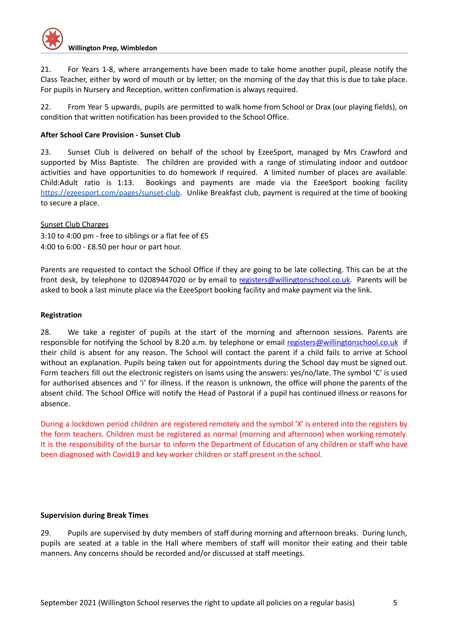

21. For Years 1-8, where arrangements have been made to take home another pupil, please notify the Class Teacher, either by word of mouth or by letter, on the morning of the day that this is due to take place. For pupils in Nursery and Reception, written confirmation is always required.

22. From Year 5 upwards, pupils are permitted to walk home from School or Drax (our playing fields), on condition that written notification has been provided to the School Office.

## **After School Care Provision - Sunset Club**

23. Sunset Club is delivered on behalf of the school by EzeeSport, managed by Mrs Crawford and supported by Miss Baptiste. The children are provided with a range of stimulating indoor and outdoor activities and have opportunities to do homework if required. A limited number of places are available. Child:Adult ratio is 1:13. Bookings and payments are made via the EzeeSport booking facility [https://ezeesport.com/pages/sunset-club.](https://ezeesport.com/pages/sunset-club) Unlike Breakfast club, payment is required at the time of booking to secure a place.

## Sunset Club Charges

3:10 to 4:00 pm - free to siblings or a flat fee of £5 4:00 to 6:00 - £8.50 per hour or part hour.

Parents are requested to contact the School Office if they are going to be late collecting. This can be at the front desk, by telephone to 02089447020 or by email to [registers@willingtonschool.co.uk.](mailto:registers@willingtonschool.co.uk) Parents will be asked to book a last minute place via the EzeeSport booking facility and make payment via the link.

# **Registration**

28. We take a register of pupils at the start of the morning and afternoon sessions. Parents are responsible for notifying the School by 8.20 a.m. by telephone or email [registers@willingtonschool.co.uk](mailto:registers@willingtonschool.co.uk) if their child is absent for any reason. The School will contact the parent if a child fails to arrive at School without an explanation. Pupils being taken out for appointments during the School day must be signed out. Form teachers fill out the electronic registers on isams using the answers: yes/no/late. The symbol 'C' is used for authorised absences and 'i' for illness. If the reason is unknown, the office will phone the parents of the absent child. The School Office will notify the Head of Pastoral if a pupil has continued illness or reasons for absence.

During a lockdown period children are registered remotely and the symbol 'X' is entered into the registers by the form teachers. Children must be registered as normal (morning and afternoon) when working remotely. It is the responsibility of the bursar to inform the Department of Education of any children or staff who have been diagnosed with Covid19 and key worker children or staff present in the school.

## **Supervision during Break Times**

29. Pupils are supervised by duty members of staff during morning and afternoon breaks. During lunch, pupils are seated at a table in the Hall where members of staff will monitor their eating and their table manners. Any concerns should be recorded and/or discussed at staff meetings.